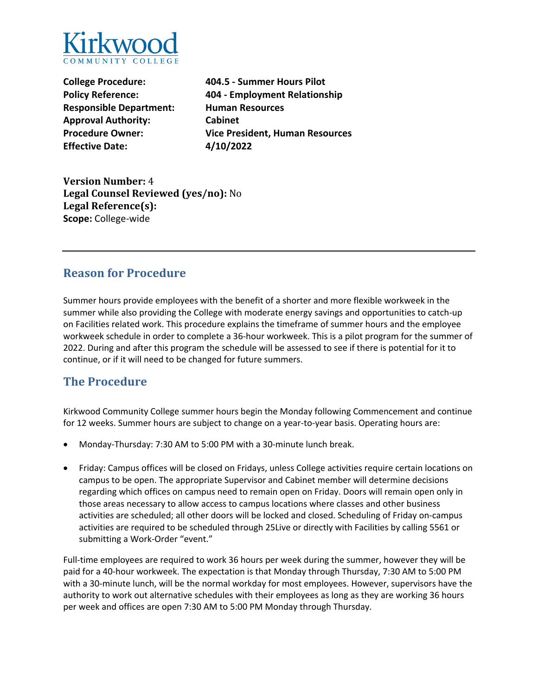

**Responsible Department: Human Resources Approval Authority: Cabinet Effective Date: 4/10/2022** 

**College Procedure: 404.5 - Summer Hours Pilot Policy Reference: 404 - Employment Relationship Procedure Owner: Vice President, Human Resources** 

**Version Number:** 4 **Legal Counsel Reviewed (yes/no):** No **Legal Reference(s): Scope:** College-wide

## **Reason for Procedure**

 Summer hours provide employees with the benefit of a shorter and more flexible workweek in the summer while also providing the College with moderate energy savings and opportunities to catch-up on Facilities related work. This procedure explains the timeframe of summer hours and the employee workweek schedule in order to complete a 36-hour workweek. This is a pilot program for the summer of 2022. During and after this program the schedule will be assessed to see if there is potential for it to continue, or if it will need to be changed for future summers.

# **The Procedure**

Kirkwood Community College summer hours begin the Monday following Commencement and continue for 12 weeks. Summer hours are subject to change on a year-to-year basis. Operating hours are:

- Monday-Thursday: 7:30 AM to 5:00 PM with a 30-minute lunch break.
- • Friday: Campus offices will be closed on Fridays, unless College activities require certain locations on campus to be open. The appropriate Supervisor and Cabinet member will determine decisions activities are scheduled; all other doors will be locked and closed. Scheduling of Friday on-campus activities are required to be scheduled through 25Live or directly with Facilities by calling 5561 or regarding which offices on campus need to remain open on Friday. Doors will remain open only in those areas necessary to allow access to campus locations where classes and other business submitting a Work-Order "event."

 Full-time employees are required to work 36 hours per week during the summer, however they will be paid for a 40-hour workweek. The expectation is that Monday through Thursday, 7:30 AM to 5:00 PM with a 30-minute lunch, will be the normal workday for most employees. However, supervisors have the per week and offices are open 7:30 AM to 5:00 PM Monday through Thursday. authority to work out alternative schedules with their employees as long as they are working 36 hours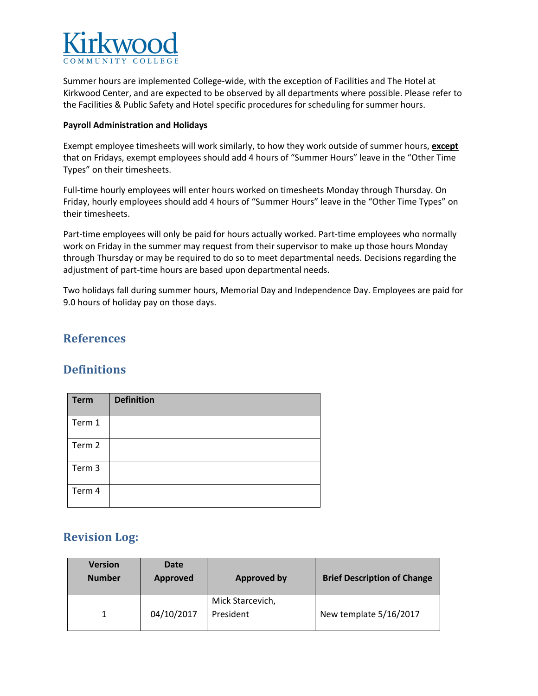

 Summer hours are implemented College-wide, with the exception of Facilities and The Hotel at Kirkwood Center, and are expected to be observed by all departments where possible. Please refer to the Facilities & Public Safety and Hotel specific procedures for scheduling for summer hours.

#### **Payroll Administration and Holidays**

 Exempt employee timesheets will work similarly, to how they work outside of summer hours, **except**  that on Fridays, exempt employees should add 4 hours of "Summer Hours" leave in the "Other Time Types" on their timesheets.

Types" on their timesheets.<br>Full-time hourly employees will enter hours worked on timesheets Monday through Thursday. On Friday, hourly employees should add 4 hours of "Summer Hours" leave in the "Other Time Types" on their timesheets.

their timesheets.<br>Part-time employees will only be paid for hours actually worked. Part-time employees who normally work on Friday in the summer may request from their supervisor to make up those hours Monday through Thursday or may be required to do so to meet departmental needs. Decisions regarding the adjustment of part-time hours are based upon departmental needs.

 Two holidays fall during summer hours, Memorial Day and Independence Day. Employees are paid for 9.0 hours of holiday pay on those days.

### **References**

#### **Definitions**

| <b>Term</b> | <b>Definition</b> |
|-------------|-------------------|
| Term 1      |                   |
| Term 2      |                   |
| Term 3      |                   |
| Term 4      |                   |

## **Revision Log:**

| <b>Version</b><br><b>Number</b> | Date<br><b>Approved</b> | <b>Approved by</b>            | <b>Brief Description of Change</b> |
|---------------------------------|-------------------------|-------------------------------|------------------------------------|
|                                 | 04/10/2017              | Mick Starcevich,<br>President | New template 5/16/2017             |